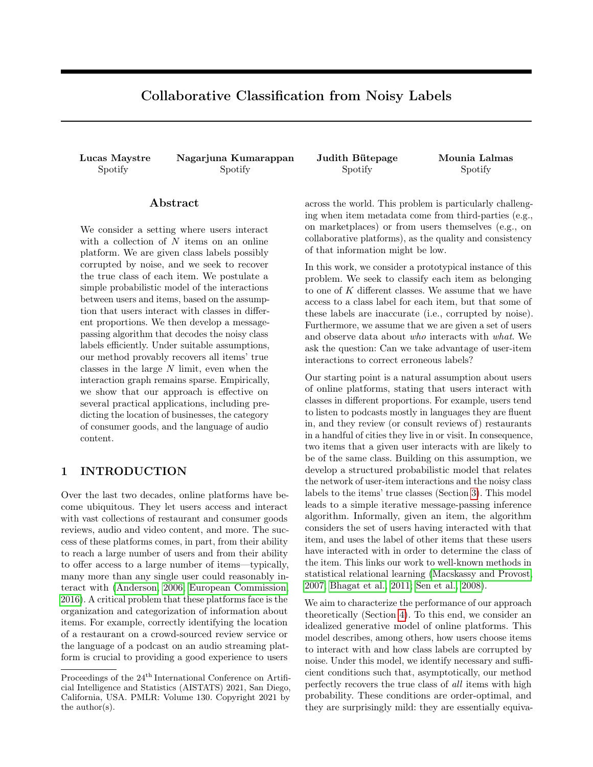# Collaborative Classification from Noisy Labels

Lucas Maystre Nagarjuna Kumarappan Judith Bütepage Mounia Lalmas Spotify Spotify Spotify Spotify Spotify Spotify Spotify Spotify Spotify Spotify Spotify Spotify Spotify Spotify Spotify Spotify Spotify Spotify Spotify Spotify Spotify Spotify Spotify Spotify Spotify Spotify Spotify Spotif

#### Abstract

We consider a setting where users interact with a collection of N items on an online platform. We are given class labels possibly corrupted by noise, and we seek to recover the true class of each item. We postulate a simple probabilistic model of the interactions between users and items, based on the assumption that users interact with classes in different proportions. We then develop a messagepassing algorithm that decodes the noisy class labels efficiently. Under suitable assumptions, our method provably recovers all items' true classes in the large N limit, even when the interaction graph remains sparse. Empirically, we show that our approach is effective on several practical applications, including predicting the location of businesses, the category of consumer goods, and the language of audio content.

## 1 INTRODUCTION

Over the last two decades, online platforms have become ubiquitous. They let users access and interact with vast collections of restaurant and consumer goods reviews, audio and video content, and more. The success of these platforms comes, in part, from their ability to reach a large number of users and from their ability to offer access to a large number of items—typically, many more than any single user could reasonably interact with [\(Anderson, 2006;](#page-8-0) [European Commission,](#page-8-1) [2016\)](#page-8-1). A critical problem that these platforms face is the organization and categorization of information about items. For example, correctly identifying the location of a restaurant on a crowd-sourced review service or the language of a podcast on an audio streaming platform is crucial to providing a good experience to users across the world. This problem is particularly challenging when item metadata come from third-parties (e.g., on marketplaces) or from users themselves (e.g., on collaborative platforms), as the quality and consistency of that information might be low.

In this work, we consider a prototypical instance of this problem. We seek to classify each item as belonging to one of K different classes. We assume that we have access to a class label for each item, but that some of these labels are inaccurate (i.e., corrupted by noise). Furthermore, we assume that we are given a set of users and observe data about who interacts with what. We ask the question: Can we take advantage of user-item interactions to correct erroneous labels?

Our starting point is a natural assumption about users of online platforms, stating that users interact with classes in different proportions. For example, users tend to listen to podcasts mostly in languages they are fluent in, and they review (or consult reviews of) restaurants in a handful of cities they live in or visit. In consequence, two items that a given user interacts with are likely to be of the same class. Building on this assumption, we develop a structured probabilistic model that relates the network of user-item interactions and the noisy class labels to the items' true classes (Section [3\)](#page-2-0). This model leads to a simple iterative message-passing inference algorithm. Informally, given an item, the algorithm considers the set of users having interacted with that item, and uses the label of other items that these users have interacted with in order to determine the class of the item. This links our work to well-known methods in statistical relational learning [\(Macskassy and Provost,](#page-9-0) [2007;](#page-9-0) [Bhagat et al., 2011;](#page-8-2) [Sen et al., 2008\)](#page-9-1).

We aim to characterize the performance of our approach theoretically (Section [4\)](#page-4-0). To this end, we consider an idealized generative model of online platforms. This model describes, among others, how users choose items to interact with and how class labels are corrupted by noise. Under this model, we identify necessary and sufficient conditions such that, asymptotically, our method perfectly recovers the true class of all items with high probability. These conditions are order-optimal, and they are surprisingly mild: they are essentially equiva-

Proceedings of the 24<sup>th</sup> International Conference on Artificial Intelligence and Statistics (AISTATS) 2021, San Diego, California, USA. PMLR: Volume 130. Copyright 2021 by the author(s).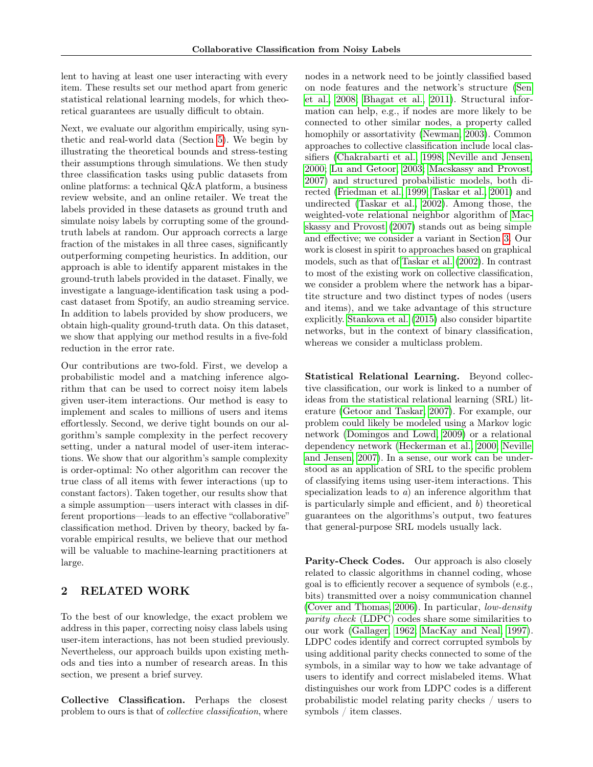lent to having at least one user interacting with every item. These results set our method apart from generic statistical relational learning models, for which theoretical guarantees are usually difficult to obtain.

Next, we evaluate our algorithm empirically, using synthetic and real-world data (Section [5\)](#page-5-0). We begin by illustrating the theoretical bounds and stress-testing their assumptions through simulations. We then study three classification tasks using public datasets from online platforms: a technical Q&A platform, a business review website, and an online retailer. We treat the labels provided in these datasets as ground truth and simulate noisy labels by corrupting some of the groundtruth labels at random. Our approach corrects a large fraction of the mistakes in all three cases, significantly outperforming competing heuristics. In addition, our approach is able to identify apparent mistakes in the ground-truth labels provided in the dataset. Finally, we investigate a language-identification task using a podcast dataset from Spotify, an audio streaming service. In addition to labels provided by show producers, we obtain high-quality ground-truth data. On this dataset, we show that applying our method results in a five-fold reduction in the error rate.

Our contributions are two-fold. First, we develop a probabilistic model and a matching inference algorithm that can be used to correct noisy item labels given user-item interactions. Our method is easy to implement and scales to millions of users and items effortlessly. Second, we derive tight bounds on our algorithm's sample complexity in the perfect recovery setting, under a natural model of user-item interactions. We show that our algorithm's sample complexity is order-optimal: No other algorithm can recover the true class of all items with fewer interactions (up to constant factors). Taken together, our results show that a simple assumption—users interact with classes in different proportions—leads to an effective "collaborative" classification method. Driven by theory, backed by favorable empirical results, we believe that our method will be valuable to machine-learning practitioners at large.

## 2 RELATED WORK

To the best of our knowledge, the exact problem we address in this paper, correcting noisy class labels using user-item interactions, has not been studied previously. Nevertheless, our approach builds upon existing methods and ties into a number of research areas. In this section, we present a brief survey.

Collective Classification. Perhaps the closest problem to ours is that of *collective classification*, where nodes in a network need to be jointly classified based on node features and the network's structure [\(Sen](#page-9-1) [et al., 2008;](#page-9-1) [Bhagat et al., 2011\)](#page-8-2). Structural information can help, e.g., if nodes are more likely to be connected to other similar nodes, a property called homophily or assortativity [\(Newman, 2003\)](#page-9-2). Common approaches to collective classification include local classifiers [\(Chakrabarti et al., 1998;](#page-8-3) [Neville and Jensen,](#page-9-3) [2000;](#page-9-3) [Lu and Getoor, 2003;](#page-9-4) [Macskassy and Provost,](#page-9-0) [2007\)](#page-9-0) and structured probabilistic models, both directed [\(Friedman et al., 1999;](#page-8-4) [Taskar et al., 2001\)](#page-9-5) and undirected [\(Taskar et al., 2002\)](#page-9-6). Among those, the weighted-vote relational neighbor algorithm of [Mac](#page-9-0)[skassy and Provost](#page-9-0) [\(2007\)](#page-9-0) stands out as being simple and effective; we consider a variant in Section [3.](#page-2-0) Our work is closest in spirit to approaches based on graphical models, such as that of [Taskar et al.](#page-9-6) [\(2002\)](#page-9-6). In contrast to most of the existing work on collective classification, we consider a problem where the network has a bipartite structure and two distinct types of nodes (users and items), and we take advantage of this structure explicitly. [Stankova et al.](#page-9-7) [\(2015\)](#page-9-7) also consider bipartite networks, but in the context of binary classification, whereas we consider a multiclass problem.

Statistical Relational Learning. Beyond collective classification, our work is linked to a number of ideas from the statistical relational learning (SRL) literature [\(Getoor and Taskar, 2007\)](#page-8-5). For example, our problem could likely be modeled using a Markov logic network [\(Domingos and Lowd, 2009\)](#page-8-6) or a relational dependency network [\(Heckerman et al., 2000;](#page-8-7) [Neville](#page-9-8) [and Jensen, 2007\)](#page-9-8). In a sense, our work can be understood as an application of SRL to the specific problem of classifying items using user-item interactions. This specialization leads to a) an inference algorithm that is particularly simple and efficient, and  $b$ ) theoretical guarantees on the algorithms's output, two features that general-purpose SRL models usually lack.

Parity-Check Codes. Our approach is also closely related to classic algorithms in channel coding, whose goal is to efficiently recover a sequence of symbols (e.g., bits) transmitted over a noisy communication channel [\(Cover and Thomas, 2006\)](#page-8-8). In particular, low-density parity check (LDPC) codes share some similarities to our work [\(Gallager, 1962;](#page-8-9) [MacKay and Neal, 1997\)](#page-9-9). LDPC codes identify and correct corrupted symbols by using additional parity checks connected to some of the symbols, in a similar way to how we take advantage of users to identify and correct mislabeled items. What distinguishes our work from LDPC codes is a different probabilistic model relating parity checks / users to symbols / item classes.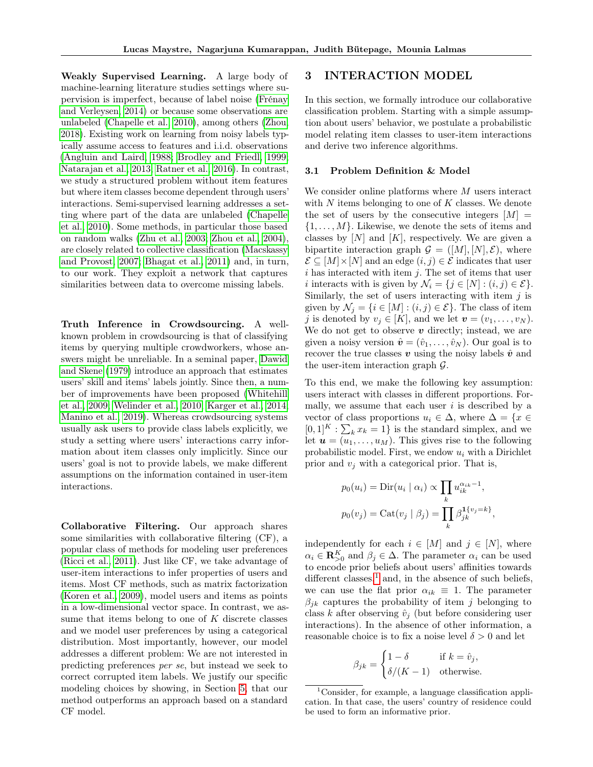Weakly Supervised Learning. A large body of machine-learning literature studies settings where supervision is imperfect, because of label noise [\(Frénay](#page-8-10) [and Verleysen, 2014\)](#page-8-10) or because some observations are unlabeled [\(Chapelle et al., 2010\)](#page-8-11), among others [\(Zhou,](#page-9-10) [2018\)](#page-9-10). Existing work on learning from noisy labels typically assume access to features and i.i.d. observations [\(Angluin and Laird, 1988;](#page-8-12) [Brodley and Friedl, 1999;](#page-8-13) [Natarajan et al., 2013;](#page-9-11) [Ratner et al., 2016\)](#page-9-12). In contrast, we study a structured problem without item features but where item classes become dependent through users' interactions. Semi-supervised learning addresses a setting where part of the data are unlabeled [\(Chapelle](#page-8-11) [et al., 2010\)](#page-8-11). Some methods, in particular those based on random walks [\(Zhu et al., 2003;](#page-9-13) [Zhou et al., 2004\)](#page-9-14), are closely related to collective classification [\(Macskassy](#page-9-0) [and Provost, 2007;](#page-9-0) [Bhagat et al., 2011\)](#page-8-2) and, in turn, to our work. They exploit a network that captures similarities between data to overcome missing labels.

Truth Inference in Crowdsourcing. A wellknown problem in crowdsourcing is that of classifying items by querying multiple crowdworkers, whose answers might be unreliable. In a seminal paper, [Dawid](#page-8-14) [and Skene](#page-8-14) [\(1979\)](#page-8-14) introduce an approach that estimates users' skill and items' labels jointly. Since then, a number of improvements have been proposed [\(Whitehill](#page-9-15) [et al., 2009;](#page-9-15) [Welinder et al., 2010;](#page-9-16) [Karger et al., 2014;](#page-8-15) [Manino et al., 2019\)](#page-9-17). Whereas crowdsourcing systems usually ask users to provide class labels explicitly, we study a setting where users' interactions carry information about item classes only implicitly. Since our users' goal is not to provide labels, we make different assumptions on the information contained in user-item interactions.

Collaborative Filtering. Our approach shares some similarities with collaborative filtering (CF), a popular class of methods for modeling user preferences [\(Ricci et al., 2011\)](#page-9-18). Just like CF, we take advantage of user-item interactions to infer properties of users and items. Most CF methods, such as matrix factorization [\(Koren et al., 2009\)](#page-9-19), model users and items as points in a low-dimensional vector space. In contrast, we assume that items belong to one of  $K$  discrete classes and we model user preferences by using a categorical distribution. Most importantly, however, our model addresses a different problem: We are not interested in predicting preferences per se, but instead we seek to correct corrupted item labels. We justify our specific modeling choices by showing, in Section [5,](#page-5-0) that our method outperforms an approach based on a standard CF model.

### <span id="page-2-0"></span>3 INTERACTION MODEL

In this section, we formally introduce our collaborative classification problem. Starting with a simple assumption about users' behavior, we postulate a probabilistic model relating item classes to user-item interactions and derive two inference algorithms.

#### 3.1 Problem Definition & Model

We consider online platforms where M users interact with  $N$  items belonging to one of  $K$  classes. We denote the set of users by the consecutive integers  $[M] =$  $\{1, \ldots, M\}$ . Likewise, we denote the sets of items and classes by  $[N]$  and  $[K]$ , respectively. We are given a bipartite interaction graph  $\mathcal{G} = ([M], [N], \mathcal{E})$ , where  $\mathcal{E} \subseteq [M] \times [N]$  and an edge  $(i, j) \in \mathcal{E}$  indicates that user i has interacted with item j. The set of items that user i interacts with is given by  $\mathcal{N}_i = \{j \in [N] : (i, j) \in \mathcal{E}\}.$ Similarly, the set of users interacting with item  $j$  is given by  $\mathcal{N}_j = \{i \in [M] : (i,j) \in \mathcal{E}\}\.$  The class of item j is denoted by  $v_j \in [K]$ , and we let  $\mathbf{v} = (v_1, \ldots, v_N)$ . We do not get to observe  $v$  directly; instead, we are given a noisy version  $\hat{\mathbf{v}} = (\hat{v}_1, \dots, \hat{v}_N)$ . Our goal is to recover the true classes v using the noisy labels  $\hat{v}$  and the user-item interaction graph G.

To this end, we make the following key assumption: users interact with classes in different proportions. Formally, we assume that each user  $i$  is described by a vector of class proportions  $u_i \in \Delta$ , where  $\Delta = \{x \in$  $[0,1]^K : \sum_k x_k = 1$  is the standard simplex, and we let  $\mathbf{u} = (u_1, \dots, u_M)$ . This gives rise to the following probabilistic model. First, we endow  $u_i$  with a Dirichlet prior and  $v_i$  with a categorical prior. That is,

$$
p_0(u_i) = \text{Dir}(u_i \mid \alpha_i) \propto \prod_k u_{ik}^{\alpha_{ik}-1},
$$
  

$$
p_0(v_j) = \text{Cat}(v_j \mid \beta_j) = \prod_k \beta_{jk}^{1\{v_j = k\}},
$$

independently for each  $i \in [M]$  and  $j \in [N]$ , where  $\alpha_i \in \mathbf{R}_{>0}^K$  and  $\beta_j \in \Delta$ . The parameter  $\alpha_i$  can be used to encode prior beliefs about users' affinities towards different classes, $<sup>1</sup>$  $<sup>1</sup>$  $<sup>1</sup>$  and, in the absence of such beliefs,</sup> we can use the flat prior  $\alpha_{ik} \equiv 1$ . The parameter  $\beta_{jk}$  captures the probability of item j belonging to class k after observing  $\hat{v}_i$  (but before considering user interactions). In the absence of other information, a reasonable choice is to fix a noise level  $\delta > 0$  and let

$$
\beta_{jk} = \begin{cases} 1 - \delta & \text{if } k = \hat{v}_j, \\ \delta/(K - 1) & \text{otherwise.} \end{cases}
$$

<span id="page-2-1"></span><sup>&</sup>lt;sup>1</sup>Consider, for example, a language classification application. In that case, the users' country of residence could be used to form an informative prior.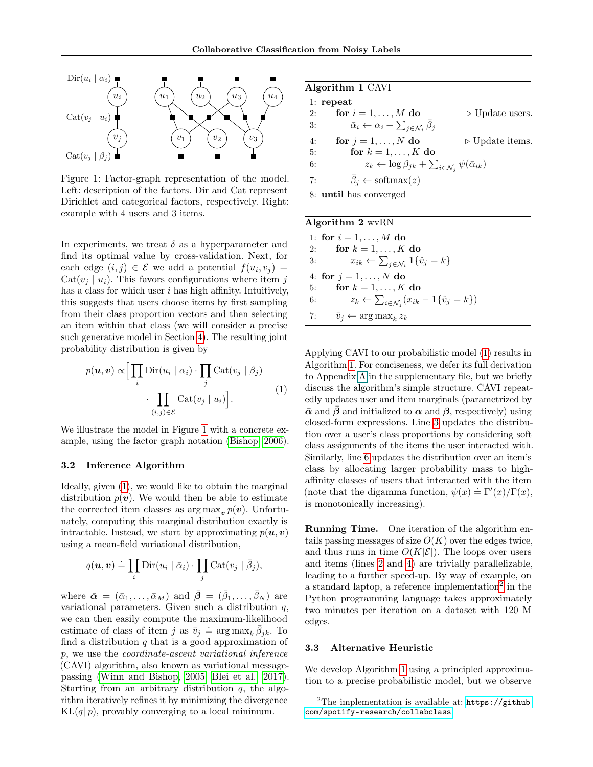<span id="page-3-0"></span>

Figure 1: Factor-graph representation of the model. Left: description of the factors. Dir and Cat represent Dirichlet and categorical factors, respectively. Right: example with 4 users and 3 items.

In experiments, we treat  $\delta$  as a hyperparameter and find its optimal value by cross-validation. Next, for each edge  $(i, j) \in \mathcal{E}$  we add a potential  $f(u_i, v_j) =$  $Cat(v_i | u_i)$ . This favors configurations where item j has a class for which user  $i$  has high affinity. Intuitively, this suggests that users choose items by first sampling from their class proportion vectors and then selecting an item within that class (we will consider a precise such generative model in Section [4\)](#page-4-0). The resulting joint probability distribution is given by

$$
p(\boldsymbol{u}, \boldsymbol{v}) \propto \Big[ \prod_i \text{Dir}(u_i \mid \alpha_i) \cdot \prod_j \text{Cat}(v_j \mid \beta_j) \cdot \prod_{(i,j) \in \mathcal{E}} \text{Cat}(v_j \mid u_i) \Big]. \tag{1}
$$

We illustrate the model in Figure [1](#page-3-0) with a concrete example, using the factor graph notation [\(Bishop, 2006\)](#page-8-16).

#### 3.2 Inference Algorithm

Ideally, given [\(1\)](#page-3-1), we would like to obtain the marginal distribution  $p(v)$ . We would then be able to estimate the corrected item classes as  $\arg \max_{\mathbf{v}} p(\mathbf{v})$ . Unfortunately, computing this marginal distribution exactly is intractable. Instead, we start by approximating  $p(\boldsymbol{u}, \boldsymbol{v})$ using a mean-field variational distribution,

$$
q(\boldsymbol{u}, \boldsymbol{v}) \doteq \prod_i \text{Dir}(u_i \mid \bar{\alpha}_i) \cdot \prod_j \text{Cat}(v_j \mid \bar{\beta}_j),
$$

where  $\bar{\boldsymbol{\alpha}} = (\bar{\alpha}_1, \dots, \bar{\alpha}_M)$  and  $\bar{\boldsymbol{\beta}} = (\bar{\beta}_1, \dots, \bar{\beta}_N)$  are variational parameters. Given such a distribution  $q$ , we can then easily compute the maximum-likelihood estimate of class of item j as  $\bar{v}_j \doteq \arg \max_k \bar{\beta}_{jk}$ . To find a distribution  $q$  that is a good approximation of p, we use the coordinate-ascent variational inference (CAVI) algorithm, also known as variational messagepassing [\(Winn and Bishop, 2005;](#page-9-20) [Blei et al., 2017\)](#page-8-17). Starting from an arbitrary distribution  $q$ , the algorithm iteratively refines it by minimizing the divergence  $KL(q||p)$ , provably converging to a local minimum.

<span id="page-3-2"></span>

|    | Algorithm 1 CAVI                                                                      |                                |
|----|---------------------------------------------------------------------------------------|--------------------------------|
|    | $1:$ repeat                                                                           |                                |
| 2: | for $i = 1, \ldots, M$ do                                                             | $\triangleright$ Update users. |
| 3: | $\bar{\alpha}_i \leftarrow \alpha_i + \sum_{j \in \mathcal{N}_i} \bar{\beta}_j$       |                                |
| 4: | for $j = 1, \ldots, N$ do                                                             | $\triangleright$ Update items. |
| 5: | for $k = 1, \ldots, K$ do                                                             |                                |
| 6: | $z_k \leftarrow \log \beta_{jk} + \sum_{i \in \mathcal{N}_i} \psi(\bar{\alpha}_{ik})$ |                                |
| 7: | $\beta_i \leftarrow \text{softmax}(z)$                                                |                                |
|    | 8: <b>until</b> has converged                                                         |                                |
|    |                                                                                       |                                |

| Algorithm $2 \text{ wvRN}$ |                                                                                    |  |  |  |
|----------------------------|------------------------------------------------------------------------------------|--|--|--|
|                            | 1: for $i = 1, , M$ do                                                             |  |  |  |
| 2:                         | for $k = 1, \ldots, K$ do                                                          |  |  |  |
| 3:                         | $x_{ik} \leftarrow \sum_{j \in \mathcal{N}_i} \mathbf{1} \{\hat{v}_j = k\}$        |  |  |  |
|                            | 4: for $j = 1, , N$ do                                                             |  |  |  |
| 5.                         | for $k = 1, \ldots, K$ do                                                          |  |  |  |
| 6:                         | $z_k \leftarrow \sum_{i \in \mathcal{N}_i} (x_{ik} - \mathbf{1}\{\hat{v}_j = k\})$ |  |  |  |
| 7:                         | $\bar{v}_i \leftarrow \arg \max_k z_k$                                             |  |  |  |

<span id="page-3-1"></span>Applying CAVI to our probabilistic model [\(1\)](#page-3-1) results in Algorithm [1.](#page-3-2) For conciseness, we defer its full derivation to Appendix A in the supplementary file, but we briefly discuss the algorithm's simple structure. CAVI repeatedly updates user and item marginals (parametrized by  $\bar{\alpha}$  and  $\beta$  and initialized to  $\alpha$  and  $\beta$ , respectively) using closed-form expressions. Line [3](#page-3-2) updates the distribution over a user's class proportions by considering soft class assignments of the items the user interacted with. Similarly, line [6](#page-3-2) updates the distribution over an item's class by allocating larger probability mass to highaffinity classes of users that interacted with the item (note that the digamma function,  $\psi(x) \doteq \Gamma'(x)/\Gamma(x)$ , is monotonically increasing).

Running Time. One iteration of the algorithm entails passing messages of size  $O(K)$  over the edges twice, and thus runs in time  $O(K|\mathcal{E}|)$ . The loops over users and items (lines [2](#page-3-2) and [4\)](#page-3-2) are trivially parallelizable, leading to a further speed-up. By way of example, on a standard laptop, a reference implementation<sup>[2](#page-3-3)</sup> in the Python programming language takes approximately two minutes per iteration on a dataset with 120 M edges.

#### 3.3 Alternative Heuristic

We develop Algorithm [1](#page-3-2) using a principled approximation to a precise probabilistic model, but we observe

<span id="page-3-3"></span> $2$ The implementation is available at: [https://github.](https://github.com/spotify-research/collabclass) [com/spotify-research/collabclass](https://github.com/spotify-research/collabclass).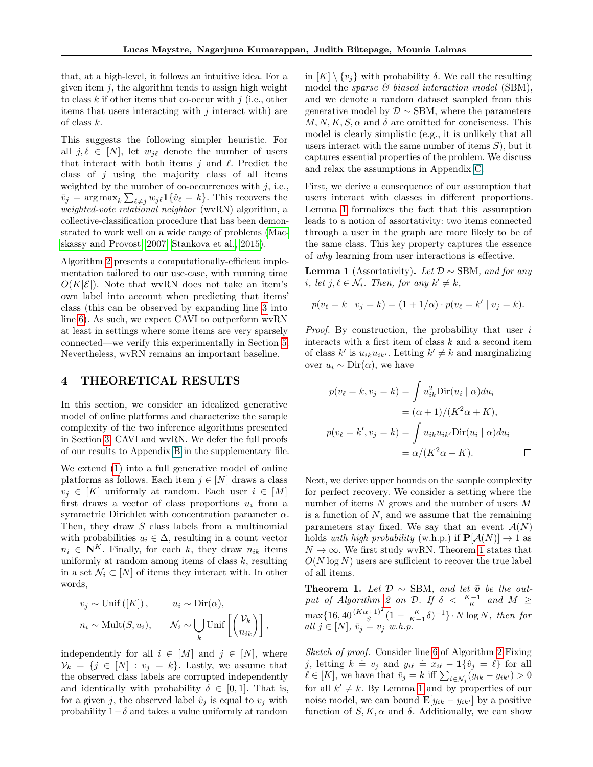that, at a high-level, it follows an intuitive idea. For a given item  $j$ , the algorithm tends to assign high weight to class  $k$  if other items that co-occur with  $j$  (i.e., other items that users interacting with  $j$  interact with) are of class k.

This suggests the following simpler heuristic. For all  $j, \ell \in [N]$ , let  $w_{i\ell}$  denote the number of users that interact with both items  $j$  and  $\ell$ . Predict the class of  $j$  using the majority class of all items weighted by the number of co-occurrences with  $j$ , i.e.,  $\bar{v}_j = \arg \max_k \sum_{\ell \neq j} w_{j\ell} \mathbf{1} \{\hat{v}_\ell = k\}.$  This recovers the weighted-vote relational neighbor (wvRN) algorithm, a collective-classification procedure that has been demonstrated to work well on a wide range of problems [\(Mac](#page-9-0)[skassy and Provost, 2007;](#page-9-0) [Stankova et al., 2015\)](#page-9-7).

Algorithm [2](#page-3-2) presents a computationally-efficient implementation tailored to our use-case, with running time  $O(K|\mathcal{E}|)$ . Note that wvRN does not take an item's own label into account when predicting that items' class (this can be observed by expanding line [3](#page-3-2) into line [6\)](#page-3-2). As such, we expect CAVI to outperform wvRN at least in settings where some items are very sparsely connected—we verify this experimentally in Section [5.](#page-5-0) Nevertheless, wvRN remains an important baseline.

#### <span id="page-4-0"></span>4 THEORETICAL RESULTS

In this section, we consider an idealized generative model of online platforms and characterize the sample complexity of the two inference algorithms presented in Section [3,](#page-2-0) CAVI and wvRN. We defer the full proofs of our results to Appendix B in the supplementary file.

We extend [\(1\)](#page-3-1) into a full generative model of online platforms as follows. Each item  $j \in [N]$  draws a class  $v_i \in [K]$  uniformly at random. Each user  $i \in [M]$ first draws a vector of class proportions  $u_i$  from a symmetric Dirichlet with concentration parameter  $\alpha$ . Then, they draw S class labels from a multinomial with probabilities  $u_i \in \Delta$ , resulting in a count vector  $n_i \in \mathbf{N}^K$ . Finally, for each k, they draw  $n_{ik}$  items uniformly at random among items of class  $k$ , resulting in a set  $\mathcal{N}_i \subset [N]$  of items they interact with. In other words,

$$
v_j \sim \text{Unif}([K]),
$$
  $u_i \sim \text{Dir}(\alpha),$   
 $n_i \sim \text{Mult}(S, u_i),$   $\mathcal{N}_i \sim \bigcup_k \text{Unif}\left[\binom{\mathcal{V}_k}{n_{ik}}\right],$ 

independently for all  $i \in [M]$  and  $j \in [N]$ , where  $V_k = \{j \in [N] : v_j = k\}.$  Lastly, we assume that the observed class labels are corrupted independently and identically with probability  $\delta \in [0,1]$ . That is, for a given j, the observed label  $\hat{v}_i$  is equal to  $v_i$  with probability  $1-\delta$  and takes a value uniformly at random

in  $[K] \setminus \{v_i\}$  with probability  $\delta$ . We call the resulting model the sparse  $\mathcal{B}$  biased interaction model (SBM), and we denote a random dataset sampled from this generative model by  $\mathcal{D} \sim$  SBM, where the parameters  $M, N, K, S, \alpha$  and  $\delta$  are omitted for conciseness. This model is clearly simplistic (e.g., it is unlikely that all users interact with the same number of items  $S$ ), but it captures essential properties of the problem. We discuss and relax the assumptions in Appendix C.

First, we derive a consequence of our assumption that users interact with classes in different proportions. Lemma [1](#page-4-1) formalizes the fact that this assumption leads to a notion of assortativity: two items connected through a user in the graph are more likely to be of the same class. This key property captures the essence of why learning from user interactions is effective.

<span id="page-4-1"></span>**Lemma 1** (Assortativity). Let  $\mathcal{D} \sim$  SBM, and for any i, let  $j, \ell \in \mathcal{N}_i$ . Then, for any  $k' \neq k$ ,

$$
p(v_{\ell} = k | v_j = k) = (1 + 1/\alpha) \cdot p(v_{\ell} = k' | v_j = k).
$$

*Proof.* By construction, the probability that user  $i$ interacts with a first item of class  $k$  and a second item of class  $k'$  is  $u_{ik}u_{ik'}$ . Letting  $k' \neq k$  and marginalizing over  $u_i \sim \text{Dir}(\alpha)$ , we have

$$
p(v_{\ell} = k, v_j = k) = \int u_{ik}^2 \text{Dir}(u_i \mid \alpha) du_i
$$
  

$$
= (\alpha + 1)/(K^2 \alpha + K),
$$
  

$$
p(v_{\ell} = k', v_j = k) = \int u_{ik} u_{ik'} \text{Dir}(u_i \mid \alpha) du_i
$$
  

$$
= \alpha/(K^2 \alpha + K).
$$

Next, we derive upper bounds on the sample complexity for perfect recovery. We consider a setting where the number of items  $N$  grows and the number of users  $M$ is a function of  $N$ , and we assume that the remaining parameters stay fixed. We say that an event  $\mathcal{A}(N)$ holds with high probability (w.h.p.) if  $\mathbf{P}[\mathcal{A}(N)] \to 1$  as  $N \to \infty$ . We first study wvRN. Theorem [1](#page-4-2) states that  $O(N \log N)$  users are sufficient to recover the true label of all items.

<span id="page-4-2"></span>Theorem 1. Let  $\mathcal{D} \sim$  SBM, and let  $\bar{v}$  be the out-put of Algorithm [2](#page-3-2) on D. If  $\delta$  <  $\frac{K-1}{K}$  and  $M$  ≥  $\max\{16, 40\frac{(K\alpha+1)^2}{S}(1-\frac{K}{K-1}\delta)^{-1}\}\cdot N \log N$ , then for all  $j \in [N]$ ,  $\bar{v}_j = v_j$  w.h.p.

Sketch of proof. Consider line [6](#page-3-2) of Algorithm [2](#page-3-2) Fixing better by proby. Consider line 6 of Algorithms 2.1 king<br>
j, letting  $k = v_j$  and  $y_{i\ell} = x_{i\ell} - 1\{\hat{v}_j = \ell\}$  for all  $\ell \in [K]$ , we have that  $\bar{v}_j = k$  iff  $\sum_{i \in \mathcal{N}_j} (y_{ik} - y_{ik'}) > 0$ for all  $k' \neq k$ . By Lemma [1](#page-4-1) and by properties of our noise model, we can bound  $\mathbf{E}[y_{ik} - y_{ik'}]$  by a positive function of  $S, K, \alpha$  and  $\delta$ . Additionally, we can show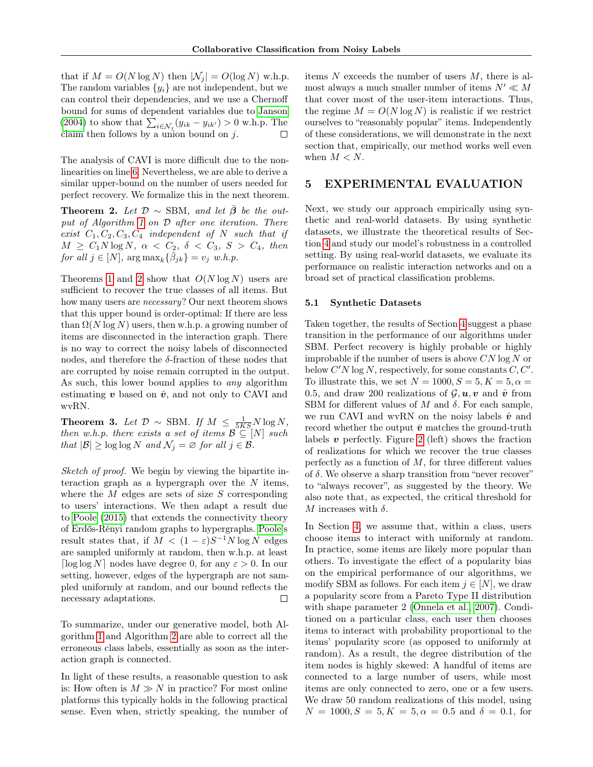that if  $M = O(N \log N)$  then  $|\mathcal{N}_i| = O(\log N)$  w.h.p. The random variables  $\{y_i\}$  are not independent, but we can control their dependencies, and we use a Chernoff bound for sums of dependent variables due to [Janson](#page-8-18) [\(2004\)](#page-8-18) to show that  $\sum_{i \in \mathcal{N}_j} (y_{ik} - y_{ik'}) > 0$  w.h.p. The claim then follows by a union bound on  $j$ . □

The analysis of CAVI is more difficult due to the nonlinearities on line [6.](#page-3-2) Nevertheless, we are able to derive a similar upper-bound on the number of users needed for perfect recovery. We formalize this in the next theorem.

<span id="page-5-1"></span>**Theorem 2.** Let  $\mathcal{D} \sim$  SBM, and let  $\overline{\beta}$  be the output of Algorithm [1](#page-3-2) on D after one iteration. There exist  $C_1, C_2, C_3, C_4$  independent of N such that if  $M \geq C_1 N \log N$ ,  $\alpha < C_2$ ,  $\delta < C_3$ ,  $S > C_4$ , then for all  $j \in [N]$ ,  $\arg \max_k {\{\bar{\beta}_{jk}\}} = v_j$  w.h.p.

Theorems [1](#page-4-2) and [2](#page-5-1) show that  $O(N \log N)$  users are sufficient to recover the true classes of all items. But how many users are necessary? Our next theorem shows that this upper bound is order-optimal: If there are less than  $\Omega(N \log N)$  users, then w.h.p. a growing number of items are disconnected in the interaction graph. There is no way to correct the noisy labels of disconnected nodes, and therefore the  $\delta$ -fraction of these nodes that are corrupted by noise remain corrupted in the output. As such, this lower bound applies to *any* algorithm estimating  $v$  based on  $\hat{v}$ , and not only to CAVI and wvRN.

**Theorem 3.** Let  $\mathcal{D} \sim \text{SBM}$ . If  $M \leq \frac{1}{5KS}N \log N$ , then w.h.p. there exists a set of items  $\mathcal{B} \subseteq [N]$  such that  $|\mathcal{B}| \geq \log \log N$  and  $\mathcal{N}_j = \varnothing$  for all  $j \in \mathcal{B}$ .

Sketch of proof. We begin by viewing the bipartite interaction graph as a hypergraph over the  $N$  items, where the  $M$  edges are sets of size  $S$  corresponding to users' interactions. We then adapt a result due to [Poole](#page-9-21) [\(2015\)](#page-9-21) that extends the connectivity theory of Erdős-Rényi random graphs to hypergraphs. [Poole'](#page-9-21)s result states that, if  $M < (1 - \varepsilon)S^{-1}N \log N$  edges are sampled uniformly at random, then w.h.p. at least [ $\log \log N$ ] nodes have degree 0, for any  $\varepsilon > 0$ . In our setting, however, edges of the hypergraph are not sampled uniformly at random, and our bound reflects the necessary adaptations.  $\Box$ 

To summarize, under our generative model, both Algorithm [1](#page-3-2) and Algorithm [2](#page-3-2) are able to correct all the erroneous class labels, essentially as soon as the interaction graph is connected.

In light of these results, a reasonable question to ask is: How often is  $M \gg N$  in practice? For most online platforms this typically holds in the following practical sense. Even when, strictly speaking, the number of items  $N$  exceeds the number of users  $M$ , there is almost always a much smaller number of items  $N' \ll M$ that cover most of the user-item interactions. Thus, the regime  $M = O(N \log N)$  is realistic if we restrict ourselves to "reasonably popular" items. Independently of these considerations, we will demonstrate in the next section that, empirically, our method works well even when  $M < N$ .

#### <span id="page-5-0"></span>5 EXPERIMENTAL EVALUATION

Next, we study our approach empirically using synthetic and real-world datasets. By using synthetic datasets, we illustrate the theoretical results of Section [4](#page-4-0) and study our model's robustness in a controlled setting. By using real-world datasets, we evaluate its performance on realistic interaction networks and on a broad set of practical classification problems.

#### 5.1 Synthetic Datasets

Taken together, the results of Section [4](#page-4-0) suggest a phase transition in the performance of our algorithms under SBM. Perfect recovery is highly probable or highly improbable if the number of users is above  $CN \log N$  or below  $C'N \log N$ , respectively, for some constants  $C, C'.$ To illustrate this, we set  $N = 1000, S = 5, K = 5, \alpha =$ 0.5, and draw 200 realizations of  $\mathcal{G}, \mathbf{u}, \mathbf{v}$  and  $\hat{\mathbf{v}}$  from SBM for different values of  $M$  and  $\delta$ . For each sample, we run CAVI and wvRN on the noisy labels  $\hat{v}$  and record whether the output  $\bar{v}$  matches the ground-truth labels  $v$  perfectly. Figure [2](#page-6-0) (left) shows the fraction of realizations for which we recover the true classes perfectly as a function of  $M$ , for three different values of  $\delta$ . We observe a sharp transition from "never recover" to "always recover", as suggested by the theory. We also note that, as expected, the critical threshold for M increases with  $\delta$ .

In Section [4,](#page-4-0) we assume that, within a class, users choose items to interact with uniformly at random. In practice, some items are likely more popular than others. To investigate the effect of a popularity bias on the empirical performance of our algorithms, we modify SBM as follows. For each item  $j \in [N]$ , we draw a popularity score from a Pareto Type II distribution with shape parameter 2 [\(Onnela et al., 2007\)](#page-9-22). Conditioned on a particular class, each user then chooses items to interact with probability proportional to the items' popularity score (as opposed to uniformly at random). As a result, the degree distribution of the item nodes is highly skewed: A handful of items are connected to a large number of users, while most items are only connected to zero, one or a few users. We draw 50 random realizations of this model, using  $N = 1000, S = 5, K = 5, \alpha = 0.5$  and  $\delta = 0.1$ , for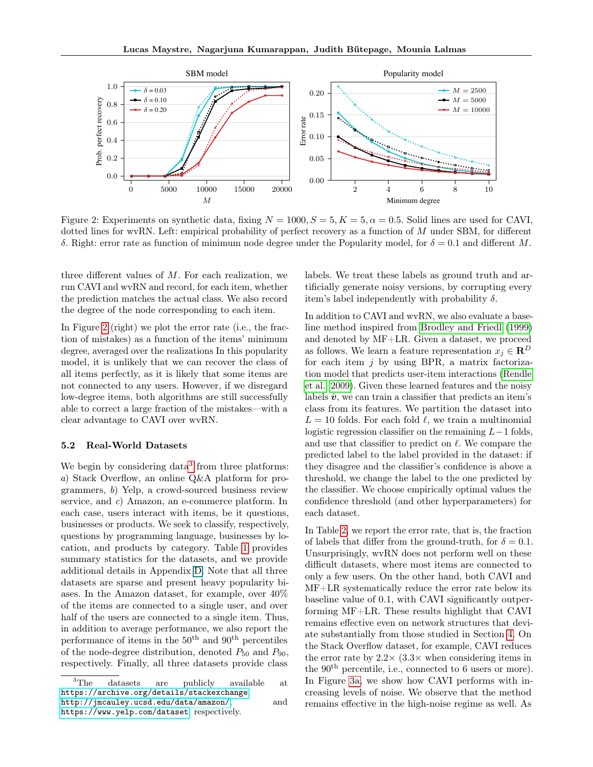<span id="page-6-0"></span>

Figure 2: Experiments on synthetic data, fixing  $N = 1000$ ,  $S = 5$ ,  $K = 5$ ,  $\alpha = 0.5$ . Solid lines are used for CAVI, dotted lines for wvRN. Left: empirical probability of perfect recovery as a function of M under SBM, for different δ. Right: error rate as function of minimum node degree under the Popularity model, for  $\delta = 0.1$  and different M.

three different values of  $M$ . For each realization, we run CAVI and wvRN and record, for each item, whether the prediction matches the actual class. We also record the degree of the node corresponding to each item.

In Figure [2](#page-6-0) (right) we plot the error rate (i.e., the fraction of mistakes) as a function of the items' minimum degree, averaged over the realizations In this popularity model, it is unlikely that we can recover the class of all items perfectly, as it is likely that some items are not connected to any users. However, if we disregard low-degree items, both algorithms are still successfully able to correct a large fraction of the mistakes—with a clear advantage to CAVI over wvRN.

#### <span id="page-6-2"></span>5.2 Real-World Datasets

We begin by considering  $data<sup>3</sup>$  $data<sup>3</sup>$  $data<sup>3</sup>$  from three platforms: a) Stack Overflow, an online Q&A platform for programmers, b) Yelp, a crowd-sourced business review service, and c) Amazon, an e-commerce platform. In each case, users interact with items, be it questions, businesses or products. We seek to classify, respectively, questions by programming language, businesses by location, and products by category. Table [1](#page-7-0) provides summary statistics for the datasets, and we provide additional details in Appendix D. Note that all three datasets are sparse and present heavy popularity biases. In the Amazon dataset, for example, over 40% of the items are connected to a single user, and over half of the users are connected to a single item. Thus, in addition to average performance, we also report the performance of items in the  $50<sup>th</sup>$  and  $90<sup>th</sup>$  percentiles of the node-degree distribution, denoted  $P_{50}$  and  $P_{90}$ , respectively. Finally, all three datasets provide class

labels. We treat these labels as ground truth and artificially generate noisy versions, by corrupting every item's label independently with probability  $\delta$ .

In addition to CAVI and wvRN, we also evaluate a baseline method inspired from [Brodley and Friedl](#page-8-13) [\(1999\)](#page-8-13) and denoted by MF+LR. Given a dataset, we proceed as follows. We learn a feature representation  $x_i \in \mathbb{R}^D$ for each item  $j$  by using BPR, a matrix factorization model that predicts user-item interactions [\(Rendle](#page-9-23) [et al., 2009\)](#page-9-23). Given these learned features and the noisy labels  $\hat{v}$ , we can train a classifier that predicts an item's class from its features. We partition the dataset into  $L = 10$  folds. For each fold  $\ell$ , we train a multinomial logistic regression classifier on the remaining  $L-1$  folds, and use that classifier to predict on  $\ell$ . We compare the predicted label to the label provided in the dataset: if they disagree and the classifier's confidence is above a threshold, we change the label to the one predicted by the classifier. We choose empirically optimal values the confidence threshold (and other hyperparameters) for each dataset.

In Table [2,](#page-7-1) we report the error rate, that is, the fraction of labels that differ from the ground-truth, for  $\delta = 0.1$ . Unsurprisingly, wvRN does not perform well on these difficult datasets, where most items are connected to only a few users. On the other hand, both CAVI and MF+LR systematically reduce the error rate below its baseline value of 0.1, with CAVI significantly outperforming MF+LR. These results highlight that CAVI remains effective even on network structures that deviate substantially from those studied in Section [4.](#page-4-0) On the Stack Overflow dataset, for example, CAVI reduces the error rate by  $2.2 \times (3.3 \times \text{when considering items in})$ the 90th percentile, i.e., connected to 6 users or more). In Figure [3a,](#page-8-19) we show how CAVI performs with increasing levels of noise. We observe that the method remains effective in the high-noise regime as well. As

<span id="page-6-1"></span><sup>3</sup>The datasets are publicly available at <https://archive.org/details/stackexchange>, <http://jmcauley.ucsd.edu/data/amazon/>, and

<https://www.yelp.com/dataset>, respectively.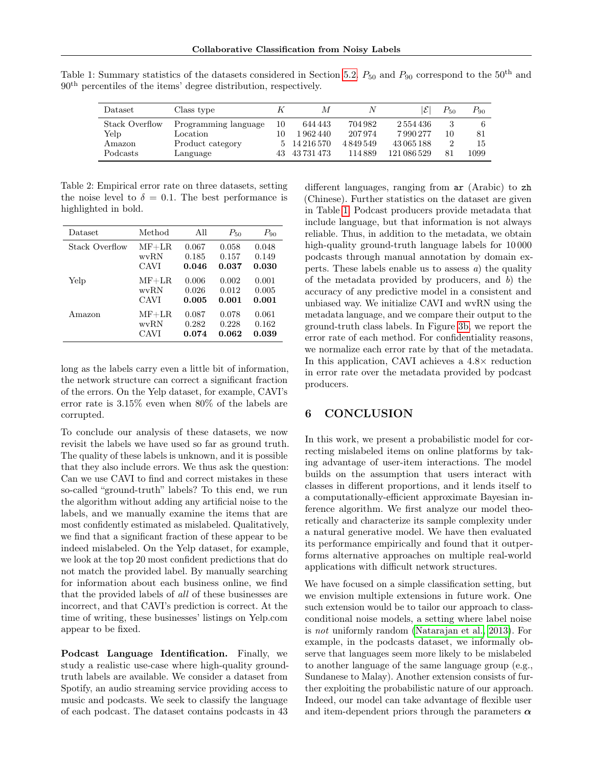| Dataset         | Class type           |    | М          | N       | ΙE          | $P_{50}$ | $P_{90}$ |
|-----------------|----------------------|----|------------|---------|-------------|----------|----------|
| Stack Overflow  | Programming language | 10 | 644 443    | 704 982 | 2554436     |          |          |
| Yelp            | Location             | 10 | 1962440    | 207974  | 7990277     | 10       | 81       |
| Amazon          | Product category     |    | 14 216 570 | 4849549 | 43065188    |          | 15       |
| <b>Podcasts</b> | Language             |    | 43 731 473 | 114889  | 121 086 529 | 81       | 1099     |

<span id="page-7-0"></span>Table 1: Summary statistics of the datasets considered in Section [5.2.](#page-6-2)  $P_{50}$  and  $P_{90}$  correspond to the 50<sup>th</sup> and 90th percentiles of the items' degree distribution, respectively.

<span id="page-7-1"></span>Table 2: Empirical error rate on three datasets, setting the noise level to  $\delta = 0.1$ . The best performance is highlighted in bold.

| Dataset        | Method  | All   | $P_{50}$ | $P_{90}$ |
|----------------|---------|-------|----------|----------|
| Stack Overflow | $MF+LR$ | 0.067 | 0.058    | 0.048    |
|                | wvRN    | 0.185 | 0.157    | 0.149    |
|                | CAVI    | 0.046 | 0.037    | 0.030    |
| Yelp           | $MF+LR$ | 0.006 | 0.002    | 0.001    |
|                | wvRN    | 0.026 | 0.012    | 0.005    |
|                | CAVI    | 0.005 | 0.001    | 0.001    |
| Amazon         | $MF+LR$ | 0.087 | 0.078    | 0.061    |
|                | wvRN    | 0.282 | 0.228    | 0.162    |
|                | CAVI    | 0.074 | 0.062    | 0.039    |

long as the labels carry even a little bit of information, the network structure can correct a significant fraction of the errors. On the Yelp dataset, for example, CAVI's error rate is 3.15% even when 80% of the labels are corrupted.

To conclude our analysis of these datasets, we now revisit the labels we have used so far as ground truth. The quality of these labels is unknown, and it is possible that they also include errors. We thus ask the question: Can we use CAVI to find and correct mistakes in these so-called "ground-truth" labels? To this end, we run the algorithm without adding any artificial noise to the labels, and we manually examine the items that are most confidently estimated as mislabeled. Qualitatively, we find that a significant fraction of these appear to be indeed mislabeled. On the Yelp dataset, for example, we look at the top 20 most confident predictions that do not match the provided label. By manually searching for information about each business online, we find that the provided labels of all of these businesses are incorrect, and that CAVI's prediction is correct. At the time of writing, these businesses' listings on Yelp.com appear to be fixed.

Podcast Language Identification. Finally, we study a realistic use-case where high-quality groundtruth labels are available. We consider a dataset from Spotify, an audio streaming service providing access to music and podcasts. We seek to classify the language of each podcast. The dataset contains podcasts in 43 different languages, ranging from ar (Arabic) to zh (Chinese). Further statistics on the dataset are given in Table [1.](#page-7-0) Podcast producers provide metadata that include language, but that information is not always reliable. Thus, in addition to the metadata, we obtain high-quality ground-truth language labels for 10 000 podcasts through manual annotation by domain experts. These labels enable us to assess  $a$ ) the quality of the metadata provided by producers, and b) the accuracy of any predictive model in a consistent and unbiased way. We initialize CAVI and wvRN using the metadata language, and we compare their output to the ground-truth class labels. In Figure [3b,](#page-8-19) we report the error rate of each method. For confidentiality reasons, we normalize each error rate by that of the metadata. In this application, CAVI achieves a 4.8× reduction in error rate over the metadata provided by podcast producers.

### 6 CONCLUSION

In this work, we present a probabilistic model for correcting mislabeled items on online platforms by taking advantage of user-item interactions. The model builds on the assumption that users interact with classes in different proportions, and it lends itself to a computationally-efficient approximate Bayesian inference algorithm. We first analyze our model theoretically and characterize its sample complexity under a natural generative model. We have then evaluated its performance empirically and found that it outperforms alternative approaches on multiple real-world applications with difficult network structures.

We have focused on a simple classification setting, but we envision multiple extensions in future work. One such extension would be to tailor our approach to classconditional noise models, a setting where label noise is not uniformly random [\(Natarajan et al., 2013\)](#page-9-11). For example, in the podcasts dataset, we informally observe that languages seem more likely to be mislabeled to another language of the same language group (e.g., Sundanese to Malay). Another extension consists of further exploiting the probabilistic nature of our approach. Indeed, our model can take advantage of flexible user and item-dependent priors through the parameters  $\alpha$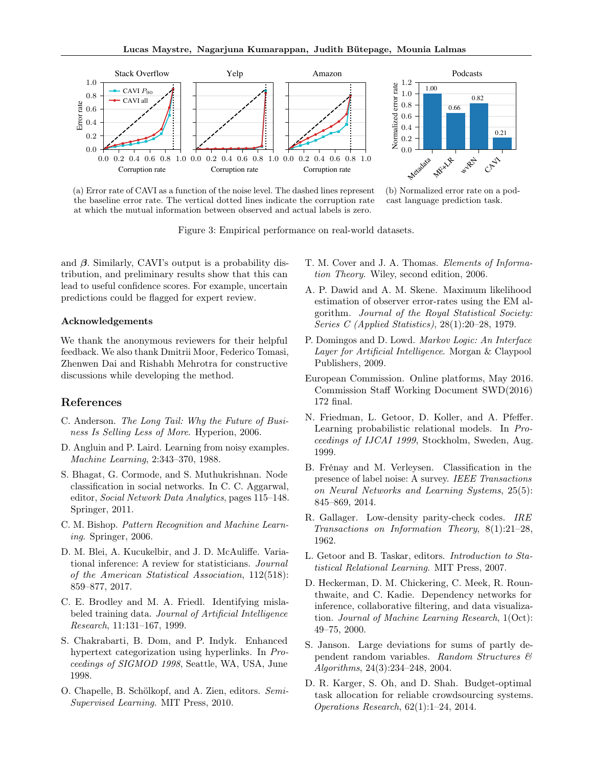<span id="page-8-19"></span>

(a) Error rate of CAVI as a function of the noise level. The dashed lines represent the baseline error rate. The vertical dotted lines indicate the corruption rate at which the mutual information between observed and actual labels is zero.



(b) Normalized error rate on a podcast language prediction task.

Figure 3: Empirical performance on real-world datasets.

and  $\beta$ . Similarly, CAVI's output is a probability distribution, and preliminary results show that this can lead to useful confidence scores. For example, uncertain predictions could be flagged for expert review.

#### Acknowledgements

We thank the anonymous reviewers for their helpful feedback. We also thank Dmitrii Moor, Federico Tomasi, Zhenwen Dai and Rishabh Mehrotra for constructive discussions while developing the method.

#### References

- <span id="page-8-0"></span>C. Anderson. The Long Tail: Why the Future of Business Is Selling Less of More. Hyperion, 2006.
- <span id="page-8-12"></span>D. Angluin and P. Laird. Learning from noisy examples. Machine Learning, 2:343–370, 1988.
- <span id="page-8-2"></span>S. Bhagat, G. Cormode, and S. Muthukrishnan. Node classification in social networks. In C. C. Aggarwal, editor, Social Network Data Analytics, pages 115–148. Springer, 2011.
- <span id="page-8-16"></span>C. M. Bishop. Pattern Recognition and Machine Learning. Springer, 2006.
- <span id="page-8-17"></span>D. M. Blei, A. Kucukelbir, and J. D. McAuliffe. Variational inference: A review for statisticians. Journal of the American Statistical Association, 112(518): 859–877, 2017.
- <span id="page-8-13"></span>C. E. Brodley and M. A. Friedl. Identifying mislabeled training data. Journal of Artificial Intelligence Research, 11:131–167, 1999.
- <span id="page-8-3"></span>S. Chakrabarti, B. Dom, and P. Indyk. Enhanced hypertext categorization using hyperlinks. In Proceedings of SIGMOD 1998, Seattle, WA, USA, June 1998.
- <span id="page-8-11"></span>O. Chapelle, B. Schölkopf, and A. Zien, editors. Semi-Supervised Learning. MIT Press, 2010.
- <span id="page-8-8"></span>T. M. Cover and J. A. Thomas. Elements of Information Theory. Wiley, second edition, 2006.
- <span id="page-8-14"></span>A. P. Dawid and A. M. Skene. Maximum likelihood estimation of observer error-rates using the EM algorithm. Journal of the Royal Statistical Society: Series C (Applied Statistics), 28(1):20–28, 1979.
- <span id="page-8-6"></span>P. Domingos and D. Lowd. Markov Logic: An Interface Layer for Artificial Intelligence. Morgan & Claypool Publishers, 2009.
- <span id="page-8-1"></span>European Commission. Online platforms, May 2016. Commission Staff Working Document SWD(2016) 172 final.
- <span id="page-8-4"></span>N. Friedman, L. Getoor, D. Koller, and A. Pfeffer. Learning probabilistic relational models. In Proceedings of IJCAI 1999, Stockholm, Sweden, Aug. 1999.
- <span id="page-8-10"></span>B. Frénay and M. Verleysen. Classification in the presence of label noise: A survey. IEEE Transactions on Neural Networks and Learning Systems, 25(5): 845–869, 2014.
- <span id="page-8-9"></span>R. Gallager. Low-density parity-check codes. IRE Transactions on Information Theory, 8(1):21–28, 1962.
- <span id="page-8-5"></span>L. Getoor and B. Taskar, editors. Introduction to Statistical Relational Learning. MIT Press, 2007.
- <span id="page-8-7"></span>D. Heckerman, D. M. Chickering, C. Meek, R. Rounthwaite, and C. Kadie. Dependency networks for inference, collaborative filtering, and data visualization. Journal of Machine Learning Research, 1(Oct): 49–75, 2000.
- <span id="page-8-18"></span>S. Janson. Large deviations for sums of partly dependent random variables. Random Structures & Algorithms, 24(3):234–248, 2004.
- <span id="page-8-15"></span>D. R. Karger, S. Oh, and D. Shah. Budget-optimal task allocation for reliable crowdsourcing systems. Operations Research, 62(1):1–24, 2014.